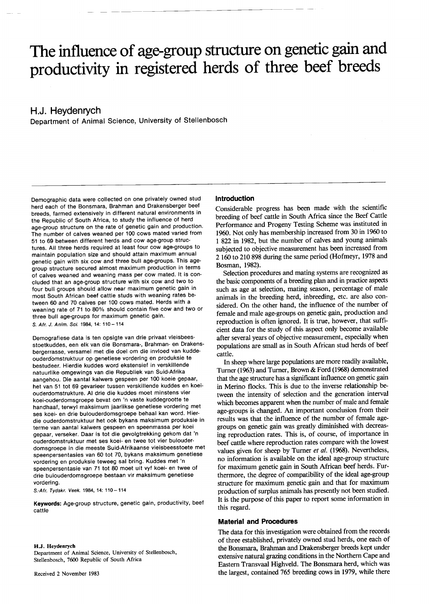# **The influence of age-group structure on genetic gain and productivity in registered herds of three beef breeds**

# **H.J. Heydenrych**

Department of Animal Science, University of Stellenbosch

Demographic data were collected on one privately owned stud herd each of the Bonsmara, Brahman and Drakensberger beef breeds, farmed extensively in different natural environments in the Republic of South Africa, to study the influence of herd age-group structure on the rate of genetic gain and production. The number of calves weaned per 100 cows mated varied from 51 to 69 between different herds and cowage-group structures. All three herds required at least four cowage-groups to maintain population size and should attain maximum annual genetic gain with six cow and three bull age-groups. This agegroup structure secured almost maximum production in terms of calves weaned and weaning mass per cow mated. It is concluded that an age-group structure with six cow and two to four bull groups should allow near maximum genetic gain in most South African beef cattle studs with weaning rates between 60 and 70 calves per 100 cows mated. Herds with a weaning rate of 71 to 80% should contain five cow and two or three bull age-groups for maximum genetic gain. S. *Afr. J. Anim. Sci.* 1984, 14: 110 - 114

Demografiese data is ten opsigte van drie privaat vleisbeesstoetkuddes, een elk van die Bonsmara-, Brahman- en Drakensbergerrasse, versamel met die doel om die invloed van kuddeouderdomstruktuur op genetiese vordering en produksie te bestudeer. Hierdie kuddes word ekstensief in verskillende natuurlike omgewings van die Republiek van Suid-Afrika aangehou. Die aantal kalwers gespeen per 100 koeie gepaar, het van 51 tot 69 gevarieer tussen verskillende kuddes en koeiouderdomstrukture. AI drie die kuddes moet minstens vier koei-ouderdomsgroepe bevat om 'n vaste kuddegrootte te handhaaf, terwyl maksimum jaarlikse genetiese vordering met ses koei- en drie bulouderdomsgroepe behaal kan word. Hierdie ouderdomstruktuur het ook bykans maksimum produksie in terme van aantal kalwers gespeen en speenmassa per koei gepaar, verseker. Daar is tot die gevolgtrekking gekom dat 'n ouderdomstruktuur met ses koei- en twee tot vier bulouderdomsgroepe in die meeste Suid-Afrikaanse vleisbeesstoete met speenpersentasies van 60 tot 70, bykans maksimum genetiese vordering en produksie teweeg sal bring. Kuddes met 'n speenpersentasie van 71 tot 80 moet uit vyf koei- en twee of drie bulouderdomsgroepe bestaan vir maksimum genetiese vordering.

*S.-Afr. Tydskr. Veek.* 1984, 14: 110 - 114

**Keywords:** Age-group structure, genetic gain, productivity, beef cattle

#### H.J. Heydenrych

Department of Animal Science, University of Stellenbosch, Stellenbosch, 7600 Republic of South Africa

#### **Introduction**

Considerable progress has been made with the scientific breeding of beef cattle in South Africa since the Beef Cattle Performance and Progeny Testing Scheme was instituted in 1960. Not only has membership increased from 30 in 1960 to 1 822 in 1982, but the number of calves and young animals subjected to Objective measurement has been increased from 2160 to 210 898 during the same period (Hofmeyr, 1978 and Bosman, 1982).

Selection procedures and mating systems are recognized as the basic components of a breeding plan and in practice aspects such as age at selection, mating season, percentage of male animals in the breeding herd, inbreeding, etc. are also considered. On the other hand, the influence of the number of female and male age-groups on genetic gain, production and reproduction is often ignored. It is true, however, that sufficient data for the study of this aspect only become available after several years of objective measurement, especially when populations are small as in South African stud herds of beef cattle.

In sheep where large populations are more readily available, Turner (1963) and Turner, Brown & Ford (1968) demonstrated that the age structure has a significant influence on genetic gain in Merino flocks. This is due to the inverse relationship between the intensity of selection and the generation interval which becomes apparent when the number of male and female age-groups is changed. An important conclusion from their results was that the influence of the number of female agegroups on genetic gain was greatly diminished with decreasing reproduction rates. This is, of course, of importance in beef cattle where reproduction rates compare with the lowest values given for sheep by Turner *et al.* (1968). Nevertheless, no information is available on the ideal age-group structure for maximum genetic gain in South African beef herds. Furthermore, the degree of compatibility of the ideal age-group structure for maximum genetic gain and that for maximum production of surplus animals has presently not been studied. It is the purpose of this paper to report some information in this regard.

## **Material and Procedures**

The data for this investigation were obtained from the records of three established, privately owned stud herds, one each of the Bonsmara, Brahman and Drakensberger breeds kept under extensive natural grazing conditions in the Northern Cape and Eastern Transvaal Highveld. The Bonsmara herd, which was the largest, contained 765 breeding cows in 1979, while there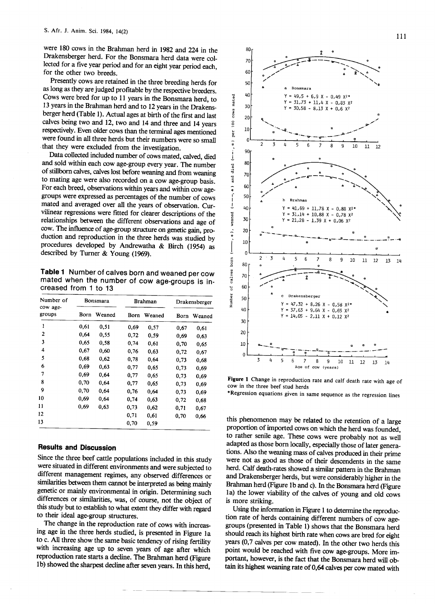were 180 cows in the Brahman herd in 1982 and 224 in the Drakensberger herd. For the Bonsmara herd data were collected for a five year period and for an eight year period each, for the other two breeds. for the other two breeds.

Presently cows are retained in the three breeding herds for as long as they are judged profitable by the respective breeders. Cows were bred for up to 11 years in the Bonsmara herd, to 13 years in the Brahman herd and to 12 years in the Drakensberger herd (Table 1). Actual ages at birth of the first and last calves being two and 12, two and 14 and three and 14 years respectively. Even older cows than the terminal ages mentioned were found in all three herds but their numbers were so small that they were excluded from the investigation.

Data collected included number of cows mated, calved, died and sold within each cowage-group every year. The number of stillborn calves, calves lost before weaning and from weaning to mating age were also recorded on a cowage-group basis. For each breed, observations within years and within cowagegroups were expressed as percentages of the number of cows mated and averaged over all the years of observation. Curvilinear regressions were fitted for clearer descriptions of the relationships between the different observations and age of cow. The influence of age-group structure on genetic gain, production and reproduction in the three herds was studied by procedures developed by Andrewatha & Birch (1954) as described by Turner & Young (1969).

Table 1 Number of calves born and weaned per cow mated when the number of cow age-groups is increased from 1 to 13

| Number of<br>cow age-<br>groups | Bonsmara |        | <b>Brahman</b> |        | Drakensberger |        |
|---------------------------------|----------|--------|----------------|--------|---------------|--------|
|                                 | Born     | Weaned | Born           | Weaned | Born          | Weaned |
| 1                               | 0.61     | 0.51   | 0,69           | 0,57   | 0.67          | 0,61   |
| 2                               | 0.64     | 0,55   | 0,72           | 0,59   | 0.69          | 0.63   |
| 3                               | 0.65     | 0.58   | 0,74           | 0,61   | 0,70          | 0.65   |
| 4                               | 0,67     | 0,60   | 0,76           | 0,63   | 0,72          | 0,67   |
| 5                               | 0,68     | 0.62   | 0,78           | 0,64   | 0,73          | 0.68   |
| 6                               | 0,69     | 0.63   | 0,77           | 0.65   | 0,73          | 0,69   |
| 7                               | 0.69     | 0,64   | 0,77           | 0,65   | 0.73          | 0.69   |
| 8                               | 0,70     | 0.64   | 0,77           | 0.65   | 0,73          | 0,69   |
| 9                               | 0.70     | 0.64   | 0,76           | 0,64   | 0.73          | 0,69   |
| 10                              | 0,69     | 0,64   | 0,74           | 0,63   | 0,72          | 0,68   |
| 11                              | 0,69     | 0,63   | 0,73           | 0.62   | 0,71          | 0.67   |
| 12                              |          |        | 0,71           | 0,61   | 0,70          | 0,66   |
| 13                              |          |        | 0,70           | 0,59   |               |        |

## Results and Discussion

Since the three beef cattle populations included in this study were situated in different environments and were subjected to different management regimes, any observed differences or similarities between them cannot be interpreted as being mainly genetic or mainly environmental in origin. Determining such differences or similarities, was, of course, not the object of this study but to establish to what extent they differ with regard to their ideal age-group structures.

The change in the reproduction rate of cows with increasing age in the three herds studied, is presented in Figure la to c. All three show the same basic tendency of rising fertility with increasing age up to seven years of age after which reproduction rate starts a decline. The Brahman herd (Figure Ib) showed the sharpest decline after seven years. In this herd,





Figure 1 Change in reproduction rate and calf death rate with age of cow in the three beef stud herds

"Regression equations given in same sequence as the regression lines

this phenomenon may be related to the retention of a large proportion of imported cows on which the herd was founded, to rather senile age. These cows were probably not as well adapted as those born locally, especially those of later generations. Also the weaning mass of calves produced in their prime were not as good as those of their descendents in the same herd. Calf death-rates showed a similar pattern in the Brahman and Drakensberger herds, but were considerably higher in the Brahman herd (Figure 1b and c). In the Bonsmara herd (Figure Ia) the lower viability of the calves of young and old cows is more striking.

Using the information in Figure 1 to determine the reproduction rate of herds containing different numbers of cowagegroups (presented in Table 1) shows that the Bonsmara herd should reach its highest birth rate when cows are bred for eight years (0,7 calves per cow mated). In the other two herds this point would be reached with five cowage-groups. More important, however, is the fact that the Bonsmara herd will obtain its highest weaning rate of 0,64 calves per cow mated with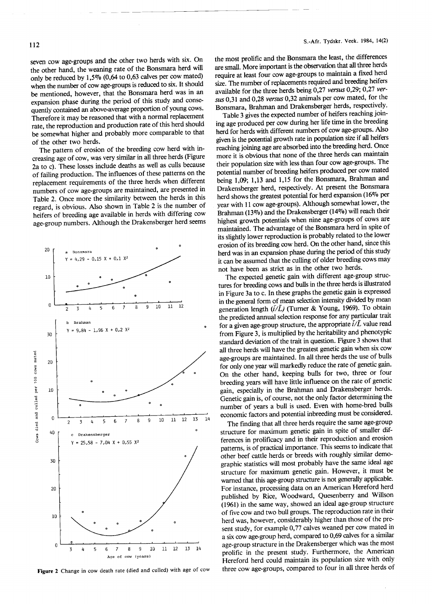seven cowage-groups and the other two herds with six. On the other hand, the weaning rate of the Bonsmara herd will only be reduced by  $1,5\%$  (0,64 to 0,63 calves per cow mated) when the number of cowage-groups is reduced to six. It should be mentioned, however, that the Bonsmara herd was in an expansion phase during the period of this study and consequently contained an above-average proportion of young cows. Therefore it may be reasoned that with a normal replacement rate, the reproduction and production rate of this herd should be somewhat higher and probably more comparable to that of the other two herds.

The pattern of erosion of the breeding cow herd with increasing age of cow, was very similar in all three herds (Figure 2a to c). These losses include deaths as well as culls because of failing production. The influences of these patterns on the replacement requirements of the three herds when different numbers of cowage-groups are maintained, are presented in Table 2. Once more the similarity between the herds in this regard, is obvious. Also shown in Table 2 is the number of heifers of breeding age available in herds with differing cow age-group numbers. Although the Drakensberger herd seems



Figure 2 Change in cow death rate (died and culled) with age of cow

the most promite and the Bonsmara the least, the difference re small. More important is the observation that all three herds equire at least four cow age-groups to maintain a fixed here  $\frac{1}{2}$ . The number of replacements required and breeding hence available for the three herds being 0,27 *versus* 0,29; 0,27 *versus* 0,31 and 0,28 *versus* 0,32 animals per cow mated, for the Bonsmara, Brahman and Drakensberger herds, respectively.

Table 3 gives the expected number of heifers reaching joining age produced per cow during her life time in the breeding herd for herds with different numbers of cowage-groups. Also given is the potential growth rate in population size if all heifers reaching joining age are absorbed into the breeding herd. Once more it is obvious that none of the three herds can maintain their population size with less than four cowage-groups. The potential number of breeding heifers produced per cow mated being 1,09; 1,13 and 1,15 for the Bonsmara, Brahman and Drakensberger herd, respectively. At present the Bonsmara herd shows the greatest potential for herd expansion (16 $\%$ ) per year with 11 cowage-groups). Although somewhat lower, the Brahman (13%) and the Drakensberger (14%) will reach their highest growth potentials when nine age-groups of cows are maintained. The advantage of the Bonsmara herd in spite of its slightly lower reproduction is probably related to the lower erosion of its breeding cow herd. On the other hand, since this herd was in an expansion phase during the period of this study it can be assumed that the culling of older breeding cows may not have been as strict as in the other two herds.

The expected genetic gain with different age-group structures for breeding cows and bulls in the three herds is illustrated in Figure 3a to c. In these graphs the genetic gain is expressed in the general form of mean selection intensity divided by mean generation length  $(\bar{i}/\bar{L})$  (Turner & Young, 1969). To obtain the predicted annual selection response for any particular trait for a given age-group structure, the appropriate  $\vec{i}/\vec{L}$  value read from Figure 3, is multiplied by the heritability and phenotypic standard deviation of the trait in question. Figure 3 shows that all three herds will have the greatest genetic gain when six cow age-groups are maintained. In all three herds the use of bulls for only one year will markedly reduce the rate of genetic gain. On the other hand, keeping bulls for two, three or four breeding years will have little influence on the rate of genetic gain, especially in the Brahman and Drakensberger herds. Genetic gain is, of course, not the only factor determining the number of years a bull is used. Even with home-bred bulls economic factors and potential inbreeding must be considered .

The finding that all three herds require the same age-group structure for maximum genetic gain in spite of smaller differences in prolificacy and in their reproduction and erosion patterns, is of practical importance. This seems to indicate that other beef cattle herds or breeds with roughly similar demographic statistics will most probably have the same ideal age structure for maximum genetic gain. However, it must be warned that this age-group structure is not generally applicable. For instance, processing data on an American Hereford herd published by Rice, Woodward, Quesenberry and Willson (1961) in the same way, showed an ideal age-group structure of five cow and two bull groups. The reproduction rate in their herd was, however, considerably higher than those of the present study, for example 0,77 calves weaned per cow mated in a six cowage-group herd, compared to 0,69 calves for a similar age-group structure in the Drakensberger which was the most prolific in the present study. Furthermore, the American Hereford herd could maintain its population size with only three cowage-groups, compared to four in all three herds of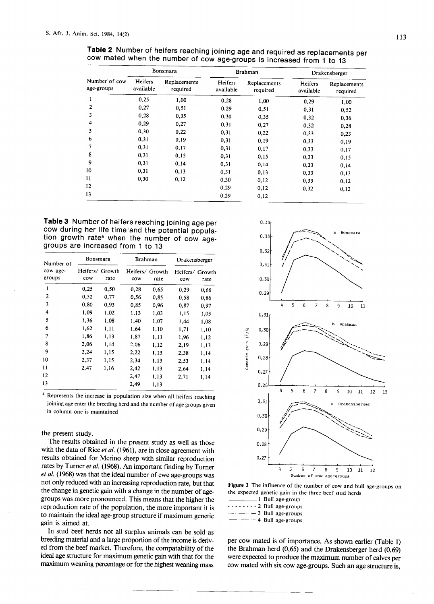| Number of cow<br>age-groups | Bonsmara             |                          | <b>Brahman</b>       |                          | Drakensberger        |                          |
|-----------------------------|----------------------|--------------------------|----------------------|--------------------------|----------------------|--------------------------|
|                             | Heifers<br>available | Replacements<br>required | Heifers<br>available | Replacements<br>required | Heifers<br>available | Replacements<br>required |
| 1                           | 0,25                 | 1,00                     | 0,28                 | 1,00                     | 0,29                 | 1,00                     |
| 2                           | 0,27                 | 0,51                     | 0,29                 | 0,51                     | 0,31                 | 0,52                     |
| 3                           | 0,28                 | 0,35                     | 0,30                 | 0,35                     | 0,32                 | 0,36                     |
| 4                           | 0,29                 | 0,27                     | 0,31                 | 0,27                     | 0,32                 | 0,28                     |
| 5                           | 0.30                 | 0,22                     | 0,31                 | 0,22                     | 0,33                 | 0.23                     |
| 6                           | 0,31                 | 0,19                     | 0,31                 | 0,19                     | 0,33                 | 0,19                     |
| 7                           | 0,31                 | 0,17                     | 0,31                 | 0,17                     | 0,33                 | 0,17                     |
| 8                           | 0,31                 | 0,15                     | 0,31                 | 0,15                     | 0,33                 | 0,15                     |
| 9                           | 0,31                 | 0,14                     | 0,31                 | 0,14                     | 0,33                 | 0,14                     |
| 10                          | 0,31                 | 0,13                     | 0,31                 | 0,13                     | 0,33                 | 0,13                     |
| 11                          | 0,30                 | 0,12                     | 0,30                 | 0,12                     | 0,33                 | 0,12                     |
| 12                          |                      |                          | 0,29                 | 0,12                     | 0,32                 | 0,12                     |
| 13                          |                      |                          | 0,29                 | 0,12                     |                      |                          |

**Table 2** Number of heifers reaching joining age and required as replacements per cow mated when the number of cow age-groups is increased from 1 to 13

**Table 3** Number of heifers reaching joining age per cow during her life time'and the potential population growth rate<sup>a</sup> when the number of cow agegroups are increased from 1 to 13

| Number of<br>cow age-<br>groups | Bonsmara        |                | <b>Brahman</b>         |      | Drakensberger          |      |
|---------------------------------|-----------------|----------------|------------------------|------|------------------------|------|
|                                 | Heifers/<br>cow | Growth<br>rate | Heifers/ Growth<br>cow | rate | Heifers/ Growth<br>cow | rate |
| 1                               | 0,25            | 0,50           | 0,28                   | 0.65 | 0.29                   | 0,66 |
| 2                               | 0.52            | 0,77           | 0.56                   | 0.85 | 0,58                   | 0.86 |
| 3                               | 0,80            | 0.93           | 0.85                   | 0,96 | 0,87                   | 0,97 |
| 4                               | 1,09            | 1.02           | 1,13                   | 1,03 | 1,15                   | 1,03 |
| 5                               | 1,36            | 1,08           | 1,40                   | 1.07 | 1,44                   | 1,08 |
| 6                               | 1,62            | 1,11           | 1,64                   | 1,10 | 1,71                   | 1,10 |
| 7                               | 1.86            | 1,13           | 1,87                   | 1,11 | 1,96                   | 1,12 |
| 8                               | 2,06            | 1,14           | 2,06                   | 1,12 | 2,19                   | 1,13 |
| 9                               | 2,24            | 1,15           | 2,22                   | 1,13 | 2,38                   | 1,14 |
| 10                              | 2,37            | 1.15           | 2,34                   | 1,13 | 2,53                   | 1,14 |
| 11                              | 2,47            | 1,16           | 2,42                   | 1,13 | 2,64                   | 1,14 |
| 12                              |                 |                | 2,47                   | 1,13 | 2,71                   | 1,14 |
| 13                              |                 |                | 2,49                   | 1,13 |                        |      |

<sup>a</sup> Represents the increase in population size when all heifers reaching joining age enter the breeding herd and the number of age groups given in column one is maintained

#### the present study.

The results obtained in the present study as well as those with the data of Rice *et al.* (1961), are in close agreement with results obtained for Merino sheep with similar reproduction rates by Turner *et al.* (1968). An important finding by Turner *et at.* (1968) was that the ideal number of ewe age-groups was not only reduced with an increasing reproduction rate, but that the change in genetic gain with a change in the number of agegroups was more pronounced. This means that the higher the reproduction rate of the population, the more important it is to maintain the ideal age-group structure if maximum genetic gain is aimed at.

In stud beef herds not all surplus animals can be sold as breeding material and a large proportion of the income is derived from the beef market. Therefore, the compatability of the ideal age structure for maximum genetic gain with that for the maximum weaning percentage or for the highest weaning mass



Figure 3 The influence of the number of cow and bull age-groups on  $t_{\text{in}}$  expected genetic gain in the three beef stud herds  $\overline{1}$  Bull age-group

| <u>—</u> r Dun ugv-group                            |
|-----------------------------------------------------|
| $\cdots$ $\cdots$ $\cdots$ 2 Bull age-groups        |
| $-\cdots$ - 3 Bull age-groups                       |
| $\frac{1}{2}$ $\cdots$ $\cdots$ - 4 Bull age-groups |

per cow mated is of importance. As shown earlier (Table 1) the Brahman herd (0,65) and the Drakensberger herd (0,69) were expected to produce the maximum number of calves per cow mated with six cowage-groups. Such an age structure is,